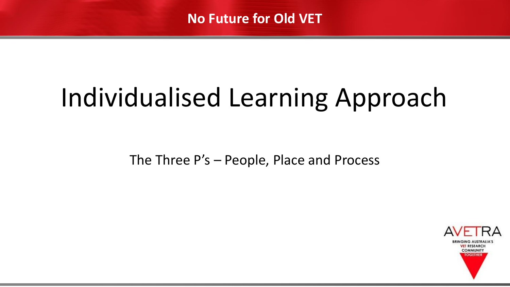# Individualised Learning Approach

The Three P's – People, Place and Process

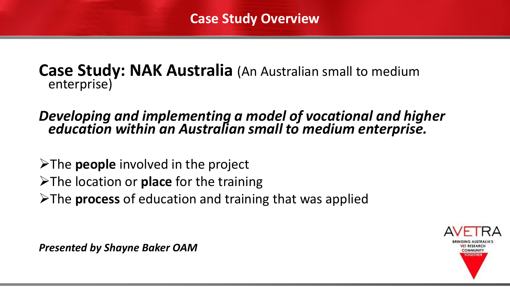#### **Case Study: NAK Australia** (An Australian small to medium enterprise)

#### *Developing and implementing a model of vocational and higher education within an Australian small to medium enterprise.*

- ➢The **people** involved in the project
- ➢The location or **place** for the training
- ➢The **process** of education and training that was applied



*Presented by Shayne Baker OAM*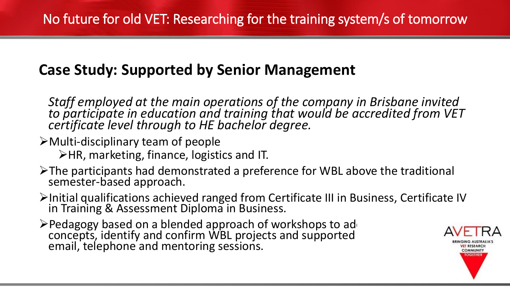# **Case Study: Supported by Senior Management**

*Staff employed at the main operations of the company in Brisbane invited to participate in education and training that would be accredited from VET certificate level through to HE bachelor degree.*

➢Multi-disciplinary team of people

➢HR, marketing, finance, logistics and IT.

- ➢The participants had demonstrated a preference for WBL above the traditional semester-based approach.
- ➢Initial qualifications achieved ranged from Certificate III in Business, Certificate IV in Training & Assessment Diploma in Business.
- >Pedagogy based on a blended approach of workshops to ad concepts, identify and confirm WBL projects and supported email, telephone and mentoring sessions.

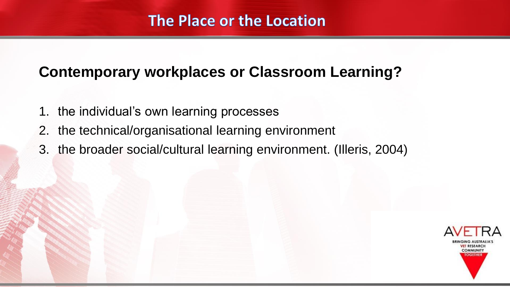## **Contemporary workplaces or Classroom Learning?**

- 1. the individual's own learning processes
- 2. the technical/organisational learning environment
- 3. the broader social/cultural learning environment. (Illeris, 2004)

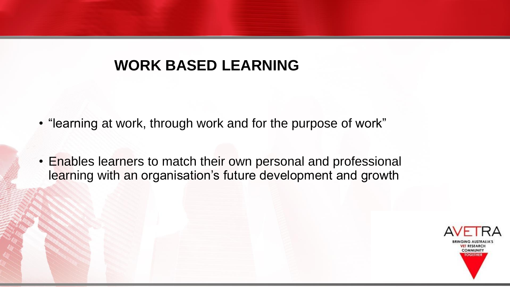## **WORK BASED LEARNING**

- "learning at work, through work and for the purpose of work"
- Enables learners to match their own personal and professional learning with an organisation's future development and growth

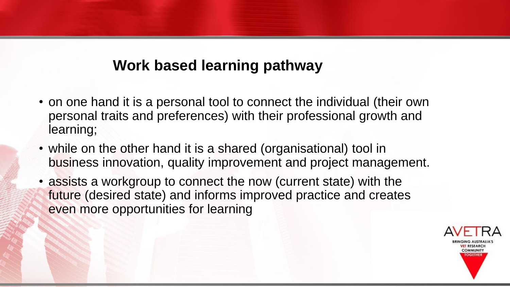#### **Work based learning pathway**

- on one hand it is a personal tool to connect the individual (their own personal traits and preferences) with their professional growth and learning;
- while on the other hand it is a shared (organisational) tool in business innovation, quality improvement and project management.
- assists a workgroup to connect the now (current state) with the future (desired state) and informs improved practice and creates even more opportunities for learning

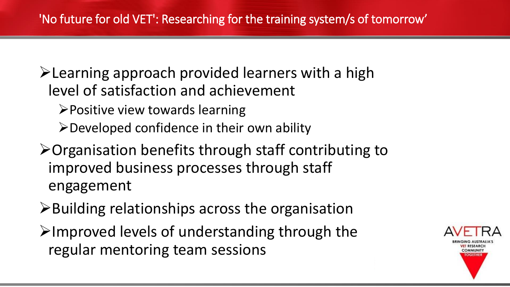➢Learning approach provided learners with a high level of satisfaction and achievement

- ➢Positive view towards learning
- ➢Developed confidence in their own ability
- ➢Organisation benefits through staff contributing to improved business processes through staff engagement
- ➢Building relationships across the organisation
- ➢Improved levels of understanding through the regular mentoring team sessions

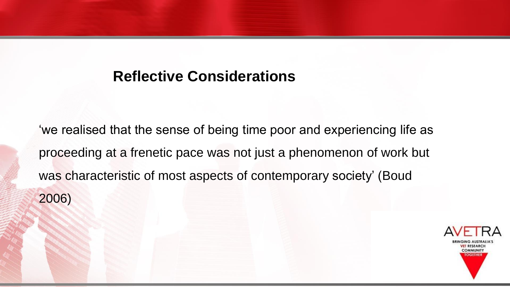#### **Reflective Considerations**

'we realised that the sense of being time poor and experiencing life as proceeding at a frenetic pace was not just a phenomenon of work but was characteristic of most aspects of contemporary society' (Boud 2006)

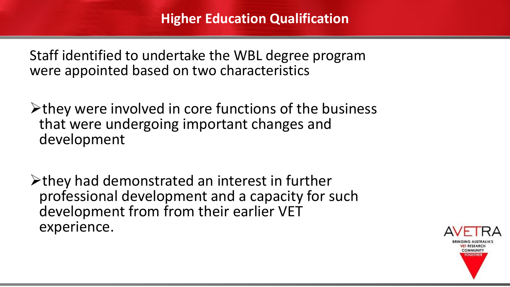Staff identified to undertake the WBL degree program were appointed based on two characteristics

➢they were involved in core functions of the business that were undergoing important changes and development

➢they had demonstrated an interest in further professional development and a capacity for such development from from their earlier VET experience.

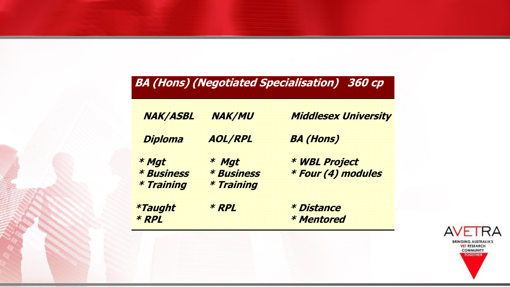#### **BA (Hons) (Negotiated Specialisation) 360 cp**

| <i><b>NAK/ASBL</b></i> | <b>NAK/MU</b>     | <b>Middlesex University</b> |
|------------------------|-------------------|-----------------------------|
| <b>Diploma</b>         | <b>AOL/RPL</b>    | <b>BA (Hons)</b>            |
| * Mgt                  | * Mgt             | * WBL Project               |
| <b>* Business</b>      | <b>* Business</b> | * Four (4) modules          |
| * Training             | * Training        |                             |
| *Taught                | * RPL             | <i><b>* Distance</b></i>    |
| * RPI                  |                   | <b>* Mentored</b>           |

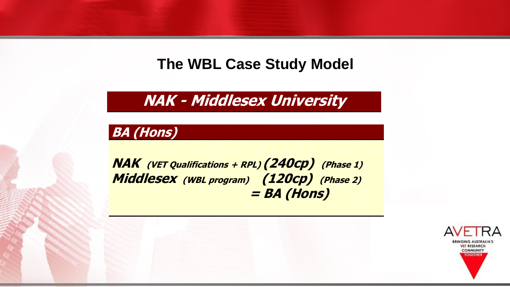#### **The WBL Case Study Model**

**NAK - Middlesex University**

#### **BA (Hons)**

**NAK (VET Qualifications + RPL) (240cp) (Phase 1) Middlesex (WBL program) (120cp) (Phase 2) = BA (Hons)**

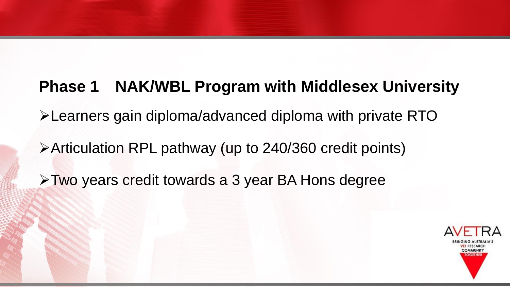# **Phase 1 NAK/WBL Program with Middlesex University** ➢Learners gain diploma/advanced diploma with private RTO ➢Articulation RPL pathway (up to 240/360 credit points) ➢Two years credit towards a 3 year BA Hons degree

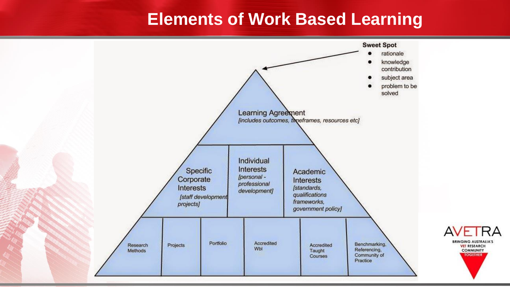# **Elements of Work Based Learning**

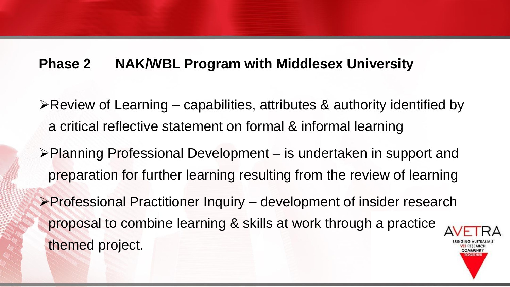#### **Phase 2 NAK/WBL Program with Middlesex University**

- ➢Review of Learning capabilities, attributes & authority identified by a critical reflective statement on formal & informal learning
- ➢Planning Professional Development is undertaken in support and preparation for further learning resulting from the review of learning
- ➢Professional Practitioner Inquiry development of insider research proposal to combine learning & skills at work through a practice themed project.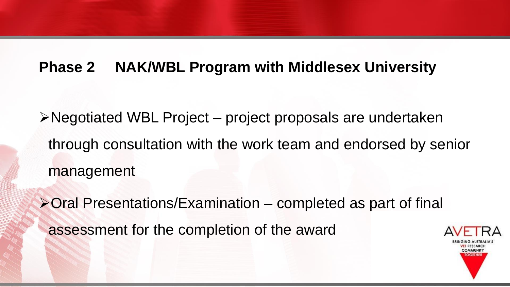#### **Phase 2 NAK/WBL Program with Middlesex University**

➢Negotiated WBL Project – project proposals are undertaken through consultation with the work team and endorsed by senior management

➢Oral Presentations/Examination – completed as part of final assessment for the completion of the award

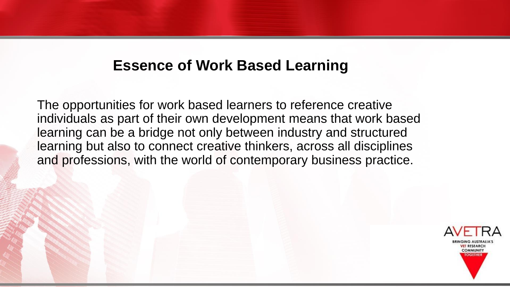#### **Essence of Work Based Learning**

The opportunities for work based learners to reference creative individuals as part of their own development means that work based learning can be a bridge not only between industry and structured learning but also to connect creative thinkers, across all disciplines and professions, with the world of contemporary business practice.

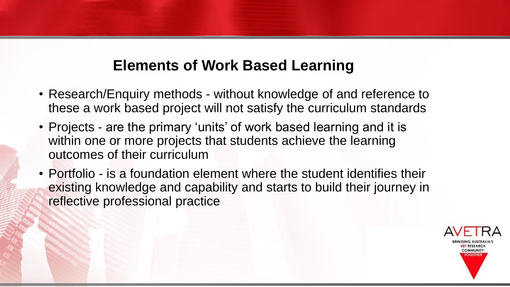## **Elements of Work Based Learning**

- Research/Enquiry methods without knowledge of and reference to these a work based project will not satisfy the curriculum standards
- Projects are the primary 'units' of work based learning and it is within one or more projects that students achieve the learning outcomes of their curriculum
- Portfolio is a foundation element where the student identifies their existing knowledge and capability and starts to build their journey in reflective professional practice

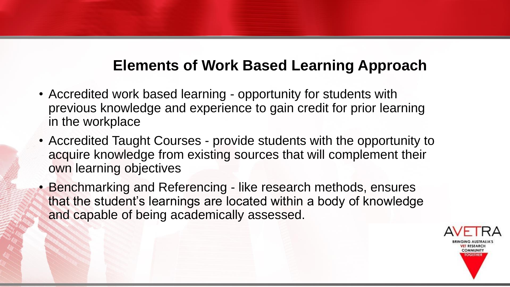### **Elements of Work Based Learning Approach**

- Accredited work based learning opportunity for students with previous knowledge and experience to gain credit for prior learning in the workplace
- Accredited Taught Courses provide students with the opportunity to acquire knowledge from existing sources that will complement their own learning objectives
- Benchmarking and Referencing like research methods, ensures that the student's learnings are located within a body of knowledge and capable of being academically assessed.

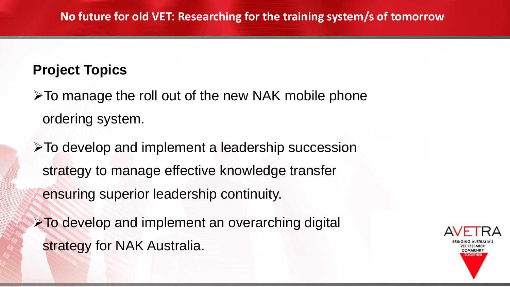#### **Project Topics**

➢To manage the roll out of the new NAK mobile phone ordering system.

➢To develop and implement a leadership succession strategy to manage effective knowledge transfer ensuring superior leadership continuity.

➢To develop and implement an overarching digital strategy for NAK Australia.

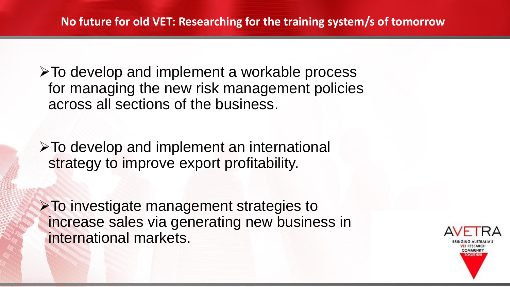➢To develop and implement a workable process for managing the new risk management policies across all sections of the business.

➢To develop and implement an international strategy to improve export profitability.

➢To investigate management strategies to increase sales via generating new business in international markets.

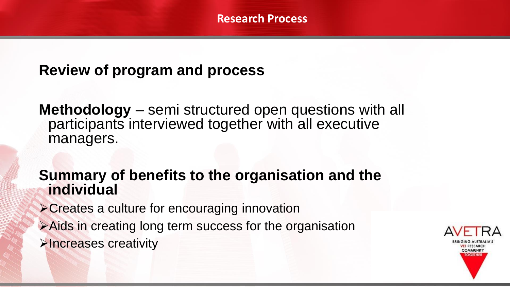### **Review of program and process**

**Methodology** – semi structured open questions with all participants interviewed together with all executive managers.

#### **Summary of benefits to the organisation and the individual**

- ➢Creates a culture for encouraging innovation
- ➢Aids in creating long term success for the organisation ➢Increases creativity

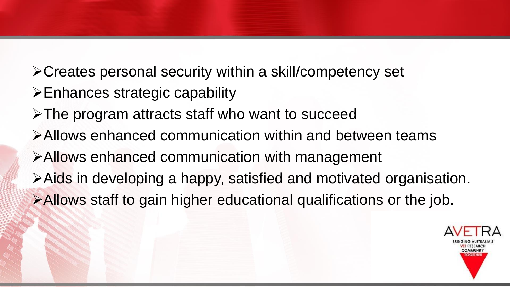➢Creates personal security within a skill/competency set ➢Enhances strategic capability ➢The program attracts staff who want to succeed ➢Allows enhanced communication within and between teams ➢Allows enhanced communication with management ➢Aids in developing a happy, satisfied and motivated organisation. ➢Allows staff to gain higher educational qualifications or the job.

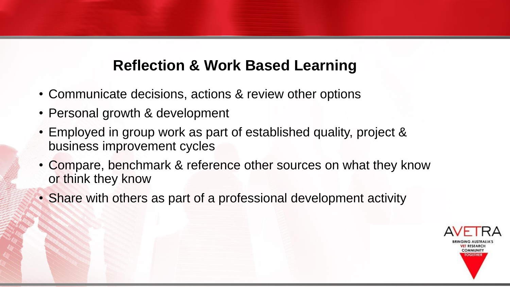## **Reflection & Work Based Learning**

- Communicate decisions, actions & review other options
- Personal growth & development
- Employed in group work as part of established quality, project & business improvement cycles
- Compare, benchmark & reference other sources on what they know or think they know
- Share with others as part of a professional development activity

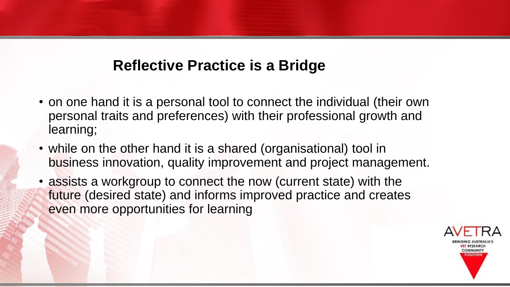## **Reflective Practice is a Bridge**

- on one hand it is a personal tool to connect the individual (their own personal traits and preferences) with their professional growth and learning;
- while on the other hand it is a shared (organisational) tool in business innovation, quality improvement and project management.
- assists a workgroup to connect the now (current state) with the future (desired state) and informs improved practice and creates even more opportunities for learning

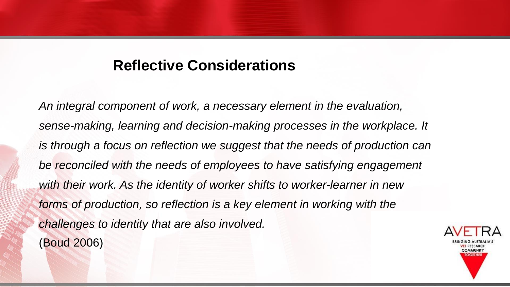#### **Reflective Considerations**

*An integral component of work, a necessary element in the evaluation, sense-making, learning and decision-making processes in the workplace. It is through a focus on reflection we suggest that the needs of production can be reconciled with the needs of employees to have satisfying engagement with their work. As the identity of worker shifts to worker-learner in new forms of production, so reflection is a key element in working with the challenges to identity that are also involved.* (Boud 2006)

**COMMUNITY TOGETHI**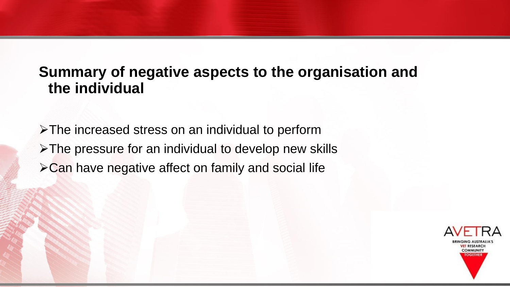#### **Summary of negative aspects to the organisation and the individual**

➢The increased stress on an individual to perform ➢The pressure for an individual to develop new skills ➢Can have negative affect on family and social life

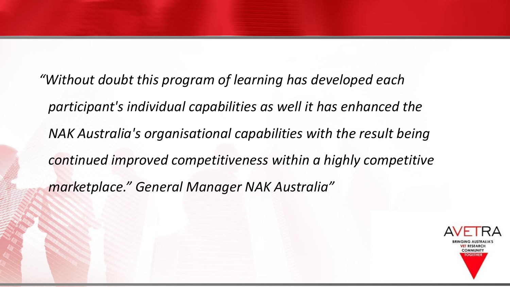*"Without doubt this program of learning has developed each participant's individual capabilities as well it has enhanced the NAK Australia's organisational capabilities with the result being continued improved competitiveness within a highly competitive marketplace." General Manager NAK Australia"*